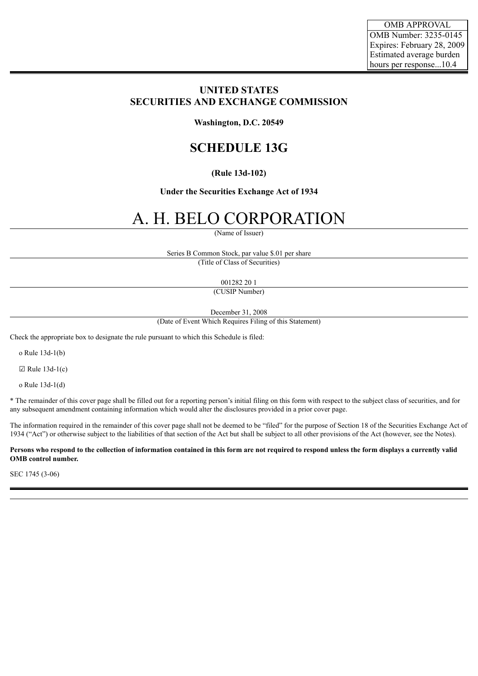# **UNITED STATES SECURITIES AND EXCHANGE COMMISSION**

**Washington, D.C. 20549**

# **SCHEDULE 13G**

## **(Rule 13d-102)**

### **Under the Securities Exchange Act of 1934**

# A. H. BELO CORPORATION

(Name of Issuer)

Series B Common Stock, par value \$.01 per share (Title of Class of Securities)

001282 20 1

(CUSIP Number)

December 31, 2008

(Date of Event Which Requires Filing of this Statement)

Check the appropriate box to designate the rule pursuant to which this Schedule is filed:

o Rule 13d-1(b)

 $\boxtimes$  Rule 13d-1(c)

o Rule 13d-1(d)

\* The remainder of this cover page shall be filled out for a reporting person's initial filing on this form with respect to the subject class of securities, and for any subsequent amendment containing information which would alter the disclosures provided in a prior cover page.

The information required in the remainder of this cover page shall not be deemed to be "filed" for the purpose of Section 18 of the Securities Exchange Act of 1934 ("Act") or otherwise subject to the liabilities of that section of the Act but shall be subject to all other provisions of the Act (however, see the Notes).

Persons who respond to the collection of information contained in this form are not required to respond unless the form displays a currently valid **OMB control number.**

SEC 1745 (3-06)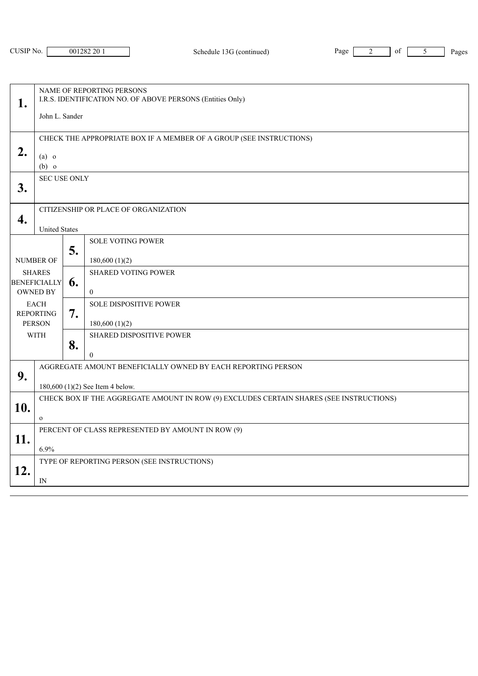| 1.                                                      | NAME OF REPORTING PERSONS<br>I.R.S. IDENTIFICATION NO. OF ABOVE PERSONS (Entities Only)<br>John L. Sander |    |                                                |
|---------------------------------------------------------|-----------------------------------------------------------------------------------------------------------|----|------------------------------------------------|
| 2.                                                      | CHECK THE APPROPRIATE BOX IF A MEMBER OF A GROUP (SEE INSTRUCTIONS)<br>$(a)$ o<br>$(b)$ o                 |    |                                                |
| 3.                                                      | <b>SEC USE ONLY</b>                                                                                       |    |                                                |
| 4.                                                      | CITIZENSHIP OR PLACE OF ORGANIZATION<br><b>United States</b>                                              |    |                                                |
| <b>NUMBER OF</b>                                        |                                                                                                           | 5. | <b>SOLE VOTING POWER</b><br>180,600(1)(2)      |
| <b>SHARES</b><br><b>BENEFICIALLY</b><br><b>OWNED BY</b> |                                                                                                           | 6. | <b>SHARED VOTING POWER</b><br>$\mathbf{0}$     |
| <b>EACH</b><br><b>REPORTING</b><br><b>PERSON</b>        |                                                                                                           | 7. | <b>SOLE DISPOSITIVE POWER</b><br>180,600(1)(2) |
| <b>WITH</b>                                             |                                                                                                           | 8. | SHARED DISPOSITIVE POWER<br>$\theta$           |
| 9.                                                      | AGGREGATE AMOUNT BENEFICIALLY OWNED BY EACH REPORTING PERSON<br>180,600 (1)(2) See Item 4 below.          |    |                                                |
| 10.                                                     | CHECK BOX IF THE AGGREGATE AMOUNT IN ROW (9) EXCLUDES CERTAIN SHARES (SEE INSTRUCTIONS)<br>$\mathbf{o}$   |    |                                                |
| 11.                                                     | PERCENT OF CLASS REPRESENTED BY AMOUNT IN ROW (9)<br>6.9%                                                 |    |                                                |
| 12.                                                     | TYPE OF REPORTING PERSON (SEE INSTRUCTIONS)<br>IN                                                         |    |                                                |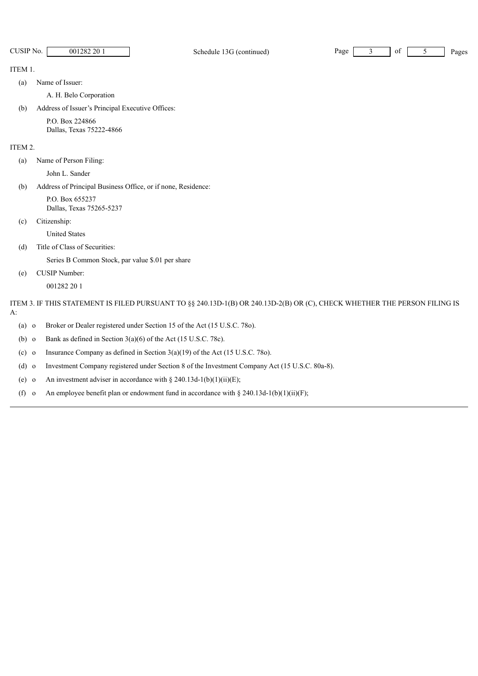CUSIP No. 001282 20 1 Schedule 13G (continued) Page 3 of 5 Pages

ITEM 1.

(a) Name of Issuer:

A. H. Belo Corporation

(b) Address of Issuer's Principal Executive Offices:

P.O. Box 224866 Dallas, Texas 75222-4866

#### ITEM 2.

(a) Name of Person Filing:

John L. Sander

(b) Address of Principal Business Office, or if none, Residence:

P.O. Box 655237 Dallas, Texas 75265-5237

(c) Citizenship:

United States

(d) Title of Class of Securities:

Series B Common Stock, par value \$.01 per share

(e) CUSIP Number:

001282 20 1

ITEM 3. IF THIS STATEMENT IS FILED PURSUANT TO §§ 240.13D-1(B) OR 240.13D-2(B) OR (C), CHECK WHETHER THE PERSON FILING IS A:

(a) o Broker or Dealer registered under Section 15 of the Act (15 U.S.C. 78o).

(b) o Bank as defined in Section  $3(a)(6)$  of the Act (15 U.S.C. 78c).

(c) o Insurance Company as defined in Section 3(a)(19) of the Act (15 U.S.C. 78o).

(d) o Investment Company registered under Section 8 of the Investment Company Act (15 U.S.C. 80a-8).

(e) o An investment adviser in accordance with  $\S 240.13d-1(b)(1)(ii)(E)$ ;

(f) o An employee benefit plan or endowment fund in accordance with  $\S 240.13d-1(b)(1)(ii)(F);$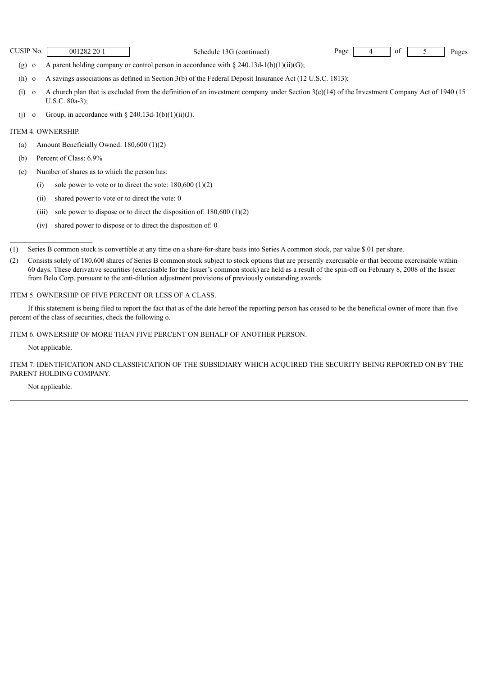CUSIP No.  $\begin{bmatrix} 0.01282201 \\ -0.01282201 \end{bmatrix}$  Schedule 13G (continued) Page  $\begin{bmatrix} 4 \\ 9 \end{bmatrix}$  of  $\begin{bmatrix} 5 \\ -5 \end{bmatrix}$  Pages

- (g) o A parent holding company or control person in accordance with  $\S 240.13d-1(b)(1)(ii)(G);$
- (h) o A savings associations as defined in Section 3(b) of the Federal Deposit Insurance Act (12 U.S.C. 1813);
- (i) o A church plan that is excluded from the definition of an investment company under Section  $3(c)(14)$  of the Investment Company Act of 1940 (15 U.S.C. 80a-3);
- (j) o Group, in accordance with  $\S 240.13d-1(b)(1)(ii)(J)$ .

#### ITEM 4. OWNERSHIP.

- (a) Amount Beneficially Owned: 180,600 (1)(2)
- (b) Percent of Class: 6.9%
- (c) Number of shares as to which the person has:
	- (i) sole power to vote or to direct the vote:  $180,600$   $(1)(2)$
	- (ii) shared power to vote or to direct the vote: 0
	- (iii) sole power to dispose or to direct the disposition of:  $180,600$  (1)(2)
	- (iv) shared power to dispose or to direct the disposition of: 0

#### ITEM 5. OWNERSHIP OF FIVE PERCENT OR LESS OF A CLASS.

If this statement is being filed to report the fact that as of the date hereof the reporting person has ceased to be the beneficial owner of more than five percent of the class of securities, check the following o.

ITEM 6. OWNERSHIP OF MORE THAN FIVE PERCENT ON BEHALF OF ANOTHER PERSON.

Not applicable.

ITEM 7. IDENTIFICATION AND CLASSIFICATION OF THE SUBSIDIARY WHICH ACQUIRED THE SECURITY BEING REPORTED ON BY THE PARENT HOLDING COMPANY.

Not applicable.

<sup>(1)</sup> Series B common stock is convertible at any time on a share-for-share basis into Series A common stock, par value \$.01 per share.

<sup>(2)</sup> Consists solely of 180,600 shares of Series B common stock subject to stock options that are presently exercisable or that become exercisable within 60 days. These derivative securities (exercisable for the Issuer's common stock) are held as a result of the spin-off on February 8, 2008 of the Issuer from Belo Corp. pursuant to the anti-dilution adjustment provisions of previously outstanding awards.